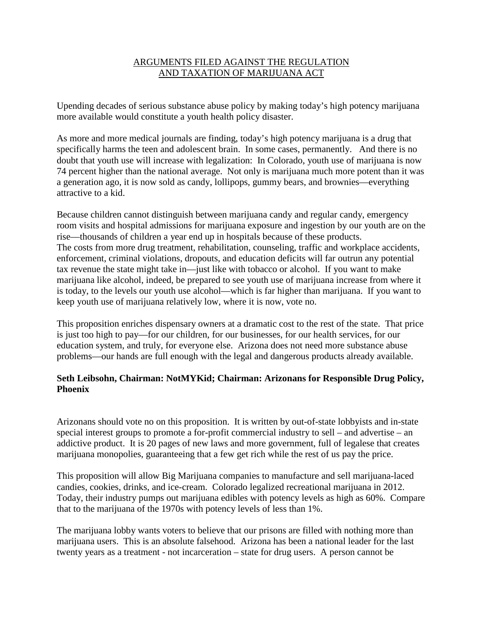# ARGUMENTS FILED AGAINST THE REGULATION AND TAXATION OF MARIJUANA ACT

Upending decades of serious substance abuse policy by making today's high potency marijuana more available would constitute a youth health policy disaster.

As more and more medical journals are finding, today's high potency marijuana is a drug that specifically harms the teen and adolescent brain. In some cases, permanently. And there is no doubt that youth use will increase with legalization: In Colorado, youth use of marijuana is now 74 percent higher than the national average. Not only is marijuana much more potent than it was a generation ago, it is now sold as candy, lollipops, gummy bears, and brownies—everything attractive to a kid.

Because children cannot distinguish between marijuana candy and regular candy, emergency room visits and hospital admissions for marijuana exposure and ingestion by our youth are on the rise—thousands of children a year end up in hospitals because of these products. The costs from more drug treatment, rehabilitation, counseling, traffic and workplace accidents, enforcement, criminal violations, dropouts, and education deficits will far outrun any potential tax revenue the state might take in—just like with tobacco or alcohol. If you want to make marijuana like alcohol, indeed, be prepared to see youth use of marijuana increase from where it is today, to the levels our youth use alcohol—which is far higher than marijuana. If you want to keep youth use of marijuana relatively low, where it is now, vote no.

This proposition enriches dispensary owners at a dramatic cost to the rest of the state. That price is just too high to pay—for our children, for our businesses, for our health services, for our education system, and truly, for everyone else. Arizona does not need more substance abuse problems—our hands are full enough with the legal and dangerous products already available.

## **Seth Leibsohn, Chairman: NotMYKid; Chairman: Arizonans for Responsible Drug Policy, Phoenix**

Arizonans should vote no on this proposition. It is written by out-of-state lobbyists and in-state special interest groups to promote a for-profit commercial industry to sell – and advertise – an addictive product. It is 20 pages of new laws and more government, full of legalese that creates marijuana monopolies, guaranteeing that a few get rich while the rest of us pay the price.

This proposition will allow Big Marijuana companies to manufacture and sell marijuana-laced candies, cookies, drinks, and ice-cream. Colorado legalized recreational marijuana in 2012. Today, their industry pumps out marijuana edibles with potency levels as high as 60%. Compare that to the marijuana of the 1970s with potency levels of less than 1%.

The marijuana lobby wants voters to believe that our prisons are filled with nothing more than marijuana users. This is an absolute falsehood. Arizona has been a national leader for the last twenty years as a treatment - not incarceration – state for drug users. A person cannot be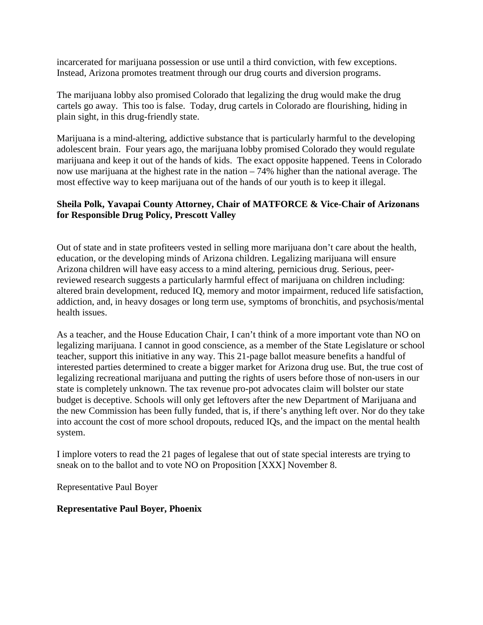incarcerated for marijuana possession or use until a third conviction, with few exceptions. Instead, Arizona promotes treatment through our drug courts and diversion programs.

The marijuana lobby also promised Colorado that legalizing the drug would make the drug cartels go away. This too is false. Today, drug cartels in Colorado are flourishing, hiding in plain sight, in this drug-friendly state.

Marijuana is a mind-altering, addictive substance that is particularly harmful to the developing adolescent brain. Four years ago, the marijuana lobby promised Colorado they would regulate marijuana and keep it out of the hands of kids. The exact opposite happened. Teens in Colorado now use marijuana at the highest rate in the nation – 74% higher than the national average. The most effective way to keep marijuana out of the hands of our youth is to keep it illegal.

### **Sheila Polk, Yavapai County Attorney, Chair of MATFORCE & Vice-Chair of Arizonans for Responsible Drug Policy, Prescott Valley**

Out of state and in state profiteers vested in selling more marijuana don't care about the health, education, or the developing minds of Arizona children. Legalizing marijuana will ensure Arizona children will have easy access to a mind altering, pernicious drug. Serious, peerreviewed research suggests a particularly harmful effect of marijuana on children including: altered brain development, reduced IQ, memory and motor impairment, reduced life satisfaction, addiction, and, in heavy dosages or long term use, symptoms of bronchitis, and psychosis/mental health issues.

As a teacher, and the House Education Chair, I can't think of a more important vote than NO on legalizing marijuana. I cannot in good conscience, as a member of the State Legislature or school teacher, support this initiative in any way. This 21-page ballot measure benefits a handful of interested parties determined to create a bigger market for Arizona drug use. But, the true cost of legalizing recreational marijuana and putting the rights of users before those of non-users in our state is completely unknown. The tax revenue pro-pot advocates claim will bolster our state budget is deceptive. Schools will only get leftovers after the new Department of Marijuana and the new Commission has been fully funded, that is, if there's anything left over. Nor do they take into account the cost of more school dropouts, reduced IQs, and the impact on the mental health system.

I implore voters to read the 21 pages of legalese that out of state special interests are trying to sneak on to the ballot and to vote NO on Proposition [XXX] November 8.

Representative Paul Boyer

#### **Representative Paul Boyer, Phoenix**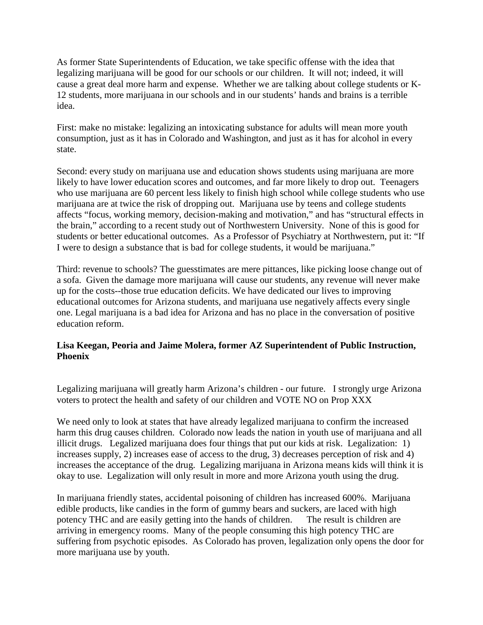As former State Superintendents of Education, we take specific offense with the idea that legalizing marijuana will be good for our schools or our children. It will not; indeed, it will cause a great deal more harm and expense. Whether we are talking about college students or K-12 students, more marijuana in our schools and in our students' hands and brains is a terrible idea.

First: make no mistake: legalizing an intoxicating substance for adults will mean more youth consumption, just as it has in Colorado and Washington, and just as it has for alcohol in every state.

Second: every study on marijuana use and education shows students using marijuana are more likely to have lower education scores and outcomes, and far more likely to drop out. Teenagers who use marijuana are 60 percent less likely to finish high school while college students who use marijuana are at twice the risk of dropping out. Marijuana use by teens and college students affects "focus, working memory, decision-making and motivation," and has "structural effects in the brain," according to a recent study out of Northwestern University. None of this is good for students or better educational outcomes. As a Professor of Psychiatry at Northwestern, put it: "If I were to design a substance that is bad for college students, it would be marijuana."

Third: revenue to schools? The guesstimates are mere pittances, like picking loose change out of a sofa. Given the damage more marijuana will cause our students, any revenue will never make up for the costs--those true education deficits. We have dedicated our lives to improving educational outcomes for Arizona students, and marijuana use negatively affects every single one. Legal marijuana is a bad idea for Arizona and has no place in the conversation of positive education reform.

## **Lisa Keegan, Peoria and Jaime Molera, former AZ Superintendent of Public Instruction, Phoenix**

Legalizing marijuana will greatly harm Arizona's children - our future. I strongly urge Arizona voters to protect the health and safety of our children and VOTE NO on Prop XXX

We need only to look at states that have already legalized marijuana to confirm the increased harm this drug causes children. Colorado now leads the nation in youth use of marijuana and all illicit drugs. Legalized marijuana does four things that put our kids at risk. Legalization: 1) increases supply, 2) increases ease of access to the drug, 3) decreases perception of risk and 4) increases the acceptance of the drug. Legalizing marijuana in Arizona means kids will think it is okay to use. Legalization will only result in more and more Arizona youth using the drug.

In marijuana friendly states, accidental poisoning of children has increased 600%. Marijuana edible products, like candies in the form of gummy bears and suckers, are laced with high potency THC and are easily getting into the hands of children. The result is children are arriving in emergency rooms. Many of the people consuming this high potency THC are suffering from psychotic episodes. As Colorado has proven, legalization only opens the door for more marijuana use by youth.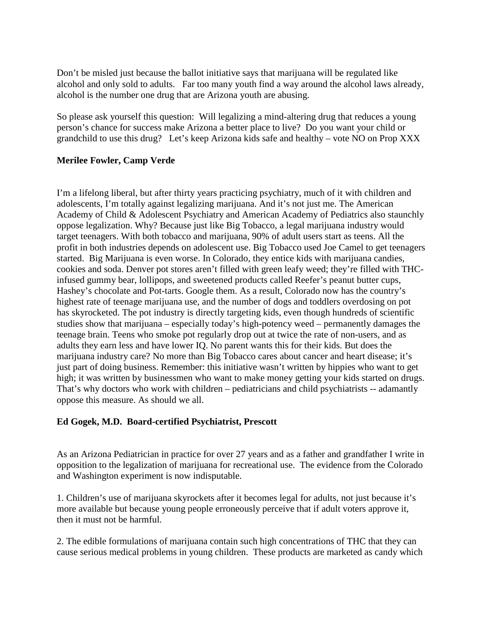Don't be misled just because the ballot initiative says that marijuana will be regulated like alcohol and only sold to adults. Far too many youth find a way around the alcohol laws already, alcohol is the number one drug that are Arizona youth are abusing.

So please ask yourself this question: Will legalizing a mind-altering drug that reduces a young person's chance for success make Arizona a better place to live? Do you want your child or grandchild to use this drug? Let's keep Arizona kids safe and healthy – vote NO on Prop XXX

#### **Merilee Fowler, Camp Verde**

I'm a lifelong liberal, but after thirty years practicing psychiatry, much of it with children and adolescents, I'm totally against legalizing marijuana. And it's not just me. The American Academy of Child & Adolescent Psychiatry and American Academy of Pediatrics also staunchly oppose legalization. Why? Because just like Big Tobacco, a legal marijuana industry would target teenagers. With both tobacco and marijuana, 90% of adult users start as teens. All the profit in both industries depends on adolescent use. Big Tobacco used Joe Camel to get teenagers started. Big Marijuana is even worse. In Colorado, they entice kids with marijuana candies, cookies and soda. Denver pot stores aren't filled with green leafy weed; they're filled with THCinfused gummy bear, lollipops, and sweetened products called Reefer's peanut butter cups, Hashey's chocolate and Pot-tarts. Google them. As a result, Colorado now has the country's highest rate of teenage marijuana use, and the number of dogs and toddlers overdosing on pot has skyrocketed. The pot industry is directly targeting kids, even though hundreds of scientific studies show that marijuana – especially today's high-potency weed – permanently damages the teenage brain. Teens who smoke pot regularly drop out at twice the rate of non-users, and as adults they earn less and have lower IQ. No parent wants this for their kids. But does the marijuana industry care? No more than Big Tobacco cares about cancer and heart disease; it's just part of doing business. Remember: this initiative wasn't written by hippies who want to get high; it was written by businessmen who want to make money getting your kids started on drugs. That's why doctors who work with children – pediatricians and child psychiatrists -- adamantly oppose this measure. As should we all.

#### **Ed Gogek, M.D. Board-certified Psychiatrist, Prescott**

As an Arizona Pediatrician in practice for over 27 years and as a father and grandfather I write in opposition to the legalization of marijuana for recreational use. The evidence from the Colorado and Washington experiment is now indisputable.

1. Children's use of marijuana skyrockets after it becomes legal for adults, not just because it's more available but because young people erroneously perceive that if adult voters approve it, then it must not be harmful.

2. The edible formulations of marijuana contain such high concentrations of THC that they can cause serious medical problems in young children. These products are marketed as candy which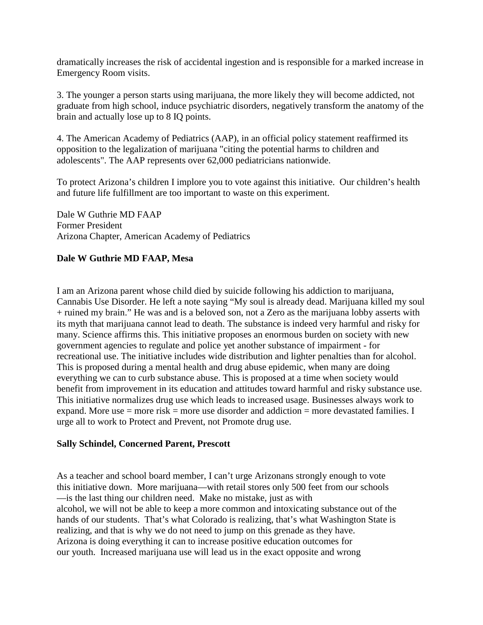dramatically increases the risk of accidental ingestion and is responsible for a marked increase in Emergency Room visits.

3. The younger a person starts using marijuana, the more likely they will become addicted, not graduate from high school, induce psychiatric disorders, negatively transform the anatomy of the brain and actually lose up to 8 IQ points.

4. The American Academy of Pediatrics (AAP), in an official policy statement reaffirmed its opposition to the legalization of marijuana "citing the potential harms to children and adolescents". The AAP represents over 62,000 pediatricians nationwide.

To protect Arizona's children I implore you to vote against this initiative. Our children's health and future life fulfillment are too important to waste on this experiment.

Dale W Guthrie MD FAAP Former President Arizona Chapter, American Academy of Pediatrics

### **Dale W Guthrie MD FAAP, Mesa**

I am an Arizona parent whose child died by suicide following his addiction to marijuana, Cannabis Use Disorder. He left a note saying "My soul is already dead. Marijuana killed my soul + ruined my brain." He was and is a beloved son, not a Zero as the marijuana lobby asserts with its myth that marijuana cannot lead to death. The substance is indeed very harmful and risky for many. Science affirms this. This initiative proposes an enormous burden on society with new government agencies to regulate and police yet another substance of impairment - for recreational use. The initiative includes wide distribution and lighter penalties than for alcohol. This is proposed during a mental health and drug abuse epidemic, when many are doing everything we can to curb substance abuse. This is proposed at a time when society would benefit from improvement in its education and attitudes toward harmful and risky substance use. This initiative normalizes drug use which leads to increased usage. Businesses always work to expand. More use  $=$  more risk  $=$  more use disorder and addiction  $=$  more devastated families. I urge all to work to Protect and Prevent, not Promote drug use.

#### **Sally Schindel, Concerned Parent, Prescott**

As a teacher and school board member, I can't urge Arizonans strongly enough to vote this initiative down. More marijuana—with retail stores only 500 feet from our schools —is the last thing our children need. Make no mistake, just as with alcohol, we will not be able to keep a more common and intoxicating substance out of the hands of our students. That's what Colorado is realizing, that's what Washington State is realizing, and that is why we do not need to jump on this grenade as they have. Arizona is doing everything it can to increase positive education outcomes for our youth. Increased marijuana use will lead us in the exact opposite and wrong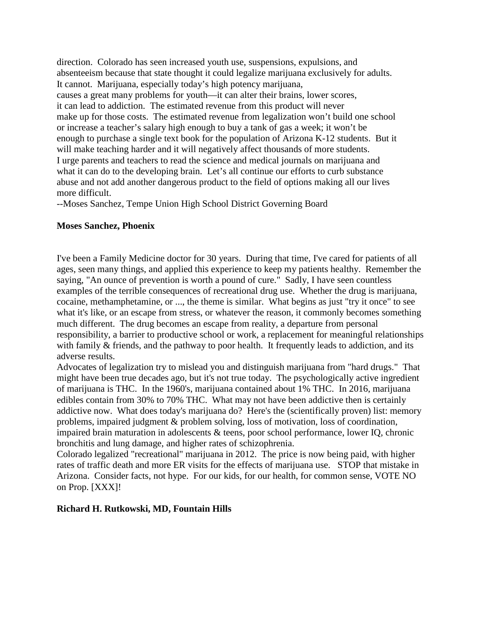direction. Colorado has seen increased youth use, suspensions, expulsions, and absenteeism because that state thought it could legalize marijuana exclusively for adults. It cannot. Marijuana, especially today's high potency marijuana, causes a great many problems for youth—it can alter their brains, lower scores, it can lead to addiction. The estimated revenue from this product will never make up for those costs. The estimated revenue from legalization won't build one school or increase a teacher's salary high enough to buy a tank of gas a week; it won't be enough to purchase a single text book for the population of Arizona K-12 students. But it will make teaching harder and it will negatively affect thousands of more students. I urge parents and teachers to read the science and medical journals on marijuana and what it can do to the developing brain. Let's all continue our efforts to curb substance abuse and not add another dangerous product to the field of options making all our lives more difficult.

--Moses Sanchez, Tempe Union High School District Governing Board

### **Moses Sanchez, Phoenix**

I've been a Family Medicine doctor for 30 years. During that time, I've cared for patients of all ages, seen many things, and applied this experience to keep my patients healthy. Remember the saying, "An ounce of prevention is worth a pound of cure." Sadly, I have seen countless examples of the terrible consequences of recreational drug use. Whether the drug is marijuana, cocaine, methamphetamine, or ..., the theme is similar. What begins as just "try it once" to see what it's like, or an escape from stress, or whatever the reason, it commonly becomes something much different. The drug becomes an escape from reality, a departure from personal responsibility, a barrier to productive school or work, a replacement for meaningful relationships with family & friends, and the pathway to poor health. It frequently leads to addiction, and its adverse results.

Advocates of legalization try to mislead you and distinguish marijuana from "hard drugs." That might have been true decades ago, but it's not true today. The psychologically active ingredient of marijuana is THC. In the 1960's, marijuana contained about 1% THC. In 2016, marijuana edibles contain from 30% to 70% THC. What may not have been addictive then is certainly addictive now. What does today's marijuana do? Here's the (scientifically proven) list: memory problems, impaired judgment & problem solving, loss of motivation, loss of coordination, impaired brain maturation in adolescents & teens, poor school performance, lower IQ, chronic bronchitis and lung damage, and higher rates of schizophrenia.

Colorado legalized "recreational" marijuana in 2012. The price is now being paid, with higher rates of traffic death and more ER visits for the effects of marijuana use. STOP that mistake in Arizona. Consider facts, not hype. For our kids, for our health, for common sense, VOTE NO on Prop. [XXX]!

#### **Richard H. Rutkowski, MD, Fountain Hills**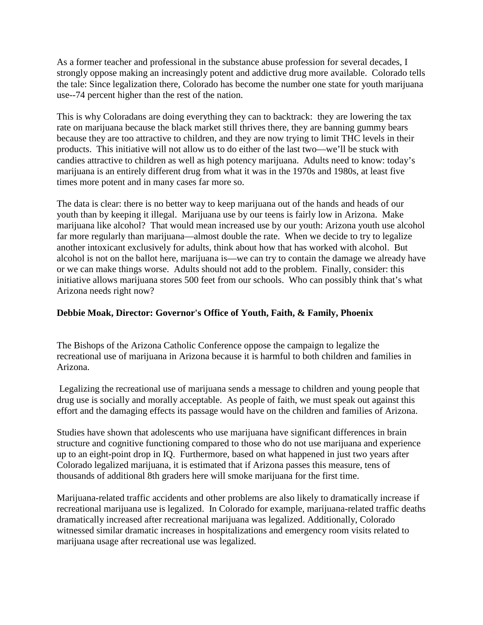As a former teacher and professional in the substance abuse profession for several decades, I strongly oppose making an increasingly potent and addictive drug more available. Colorado tells the tale: Since legalization there, Colorado has become the number one state for youth marijuana use--74 percent higher than the rest of the nation.

This is why Coloradans are doing everything they can to backtrack: they are lowering the tax rate on marijuana because the black market still thrives there, they are banning gummy bears because they are too attractive to children, and they are now trying to limit THC levels in their products. This initiative will not allow us to do either of the last two—we'll be stuck with candies attractive to children as well as high potency marijuana. Adults need to know: today's marijuana is an entirely different drug from what it was in the 1970s and 1980s, at least five times more potent and in many cases far more so.

The data is clear: there is no better way to keep marijuana out of the hands and heads of our youth than by keeping it illegal. Marijuana use by our teens is fairly low in Arizona. Make marijuana like alcohol? That would mean increased use by our youth: Arizona youth use alcohol far more regularly than marijuana—almost double the rate. When we decide to try to legalize another intoxicant exclusively for adults, think about how that has worked with alcohol. But alcohol is not on the ballot here, marijuana is—we can try to contain the damage we already have or we can make things worse. Adults should not add to the problem. Finally, consider: this initiative allows marijuana stores 500 feet from our schools. Who can possibly think that's what Arizona needs right now?

## **Debbie Moak, Director: Governor's Office of Youth, Faith, & Family, Phoenix**

The Bishops of the Arizona Catholic Conference oppose the campaign to legalize the recreational use of marijuana in Arizona because it is harmful to both children and families in Arizona.

Legalizing the recreational use of marijuana sends a message to children and young people that drug use is socially and morally acceptable. As people of faith, we must speak out against this effort and the damaging effects its passage would have on the children and families of Arizona.

Studies have shown that adolescents who use marijuana have significant differences in brain structure and cognitive functioning compared to those who do not use marijuana and experience up to an eight-point drop in IQ. Furthermore, based on what happened in just two years after Colorado legalized marijuana, it is estimated that if Arizona passes this measure, tens of thousands of additional 8th graders here will smoke marijuana for the first time.

Marijuana-related traffic accidents and other problems are also likely to dramatically increase if recreational marijuana use is legalized. In Colorado for example, marijuana-related traffic deaths dramatically increased after recreational marijuana was legalized. Additionally, Colorado witnessed similar dramatic increases in hospitalizations and emergency room visits related to marijuana usage after recreational use was legalized.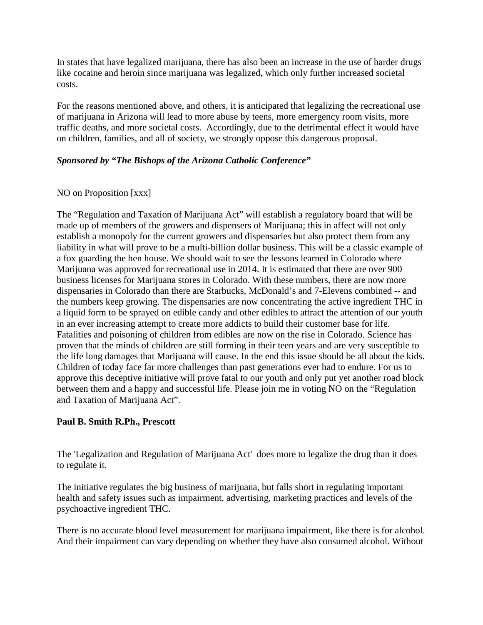In states that have legalized marijuana, there has also been an increase in the use of harder drugs like cocaine and heroin since marijuana was legalized, which only further increased societal costs.

For the reasons mentioned above, and others, it is anticipated that legalizing the recreational use of marijuana in Arizona will lead to more abuse by teens, more emergency room visits, more traffic deaths, and more societal costs. Accordingly, due to the detrimental effect it would have on children, families, and all of society, we strongly oppose this dangerous proposal.

### *Sponsored by "The Bishops of the Arizona Catholic Conference"*

### NO on Proposition [xxx]

The "Regulation and Taxation of Marijuana Act" will establish a regulatory board that will be made up of members of the growers and dispensers of Marijuana; this in affect will not only establish a monopoly for the current growers and dispensaries but also protect them from any liability in what will prove to be a multi-billion dollar business. This will be a classic example of a fox guarding the hen house. We should wait to see the lessons learned in Colorado where Marijuana was approved for recreational use in 2014. It is estimated that there are over 900 business licenses for Marijuana stores in Colorado. With these numbers, there are now more dispensaries in Colorado than there are Starbucks, McDonald's and 7-Elevens combined -- and the numbers keep growing. The dispensaries are now concentrating the active ingredient THC in a liquid form to be sprayed on edible candy and other edibles to attract the attention of our youth in an ever increasing attempt to create more addicts to build their customer base for life. Fatalities and poisoning of children from edibles are now on the rise in Colorado. Science has proven that the minds of children are still forming in their teen years and are very susceptible to the life long damages that Marijuana will cause. In the end this issue should be all about the kids. Children of today face far more challenges than past generations ever had to endure. For us to approve this deceptive initiative will prove fatal to our youth and only put yet another road block between them and a happy and successful life. Please join me in voting NO on the "Regulation and Taxation of Marijuana Act".

## **Paul B. Smith R.Ph., Prescott**

The 'Legalization and Regulation of Marijuana Act' does more to legalize the drug than it does to regulate it.

The initiative regulates the big business of marijuana, but falls short in regulating important health and safety issues such as impairment, advertising, marketing practices and levels of the psychoactive ingredient THC.

There is no accurate blood level measurement for marijuana impairment, like there is for alcohol. And their impairment can vary depending on whether they have also consumed alcohol. Without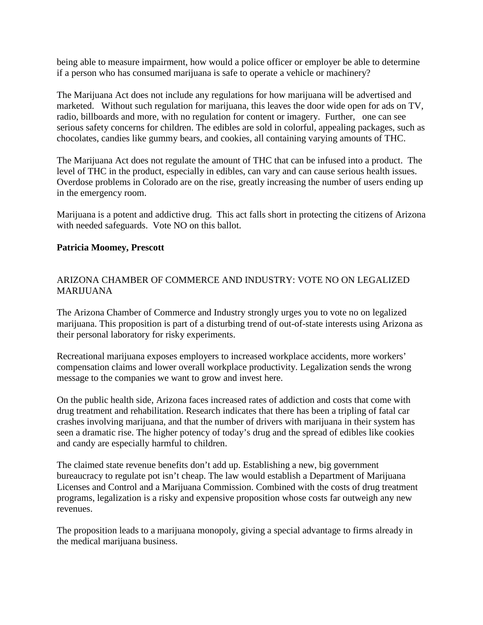being able to measure impairment, how would a police officer or employer be able to determine if a person who has consumed marijuana is safe to operate a vehicle or machinery?

The Marijuana Act does not include any regulations for how marijuana will be advertised and marketed. Without such regulation for marijuana, this leaves the door wide open for ads on TV, radio, billboards and more, with no regulation for content or imagery. Further, one can see serious safety concerns for children. The edibles are sold in colorful, appealing packages, such as chocolates, candies like gummy bears, and cookies, all containing varying amounts of THC.

The Marijuana Act does not regulate the amount of THC that can be infused into a product. The level of THC in the product, especially in edibles, can vary and can cause serious health issues. Overdose problems in Colorado are on the rise, greatly increasing the number of users ending up in the emergency room.

Marijuana is a potent and addictive drug. This act falls short in protecting the citizens of Arizona with needed safeguards. Vote NO on this ballot.

### **Patricia Moomey, Prescott**

## ARIZONA CHAMBER OF COMMERCE AND INDUSTRY: VOTE NO ON LEGALIZED MARIJUANA

The Arizona Chamber of Commerce and Industry strongly urges you to vote no on legalized marijuana. This proposition is part of a disturbing trend of out-of-state interests using Arizona as their personal laboratory for risky experiments.

Recreational marijuana exposes employers to increased workplace accidents, more workers' compensation claims and lower overall workplace productivity. Legalization sends the wrong message to the companies we want to grow and invest here.

On the public health side, Arizona faces increased rates of addiction and costs that come with drug treatment and rehabilitation. Research indicates that there has been a tripling of fatal car crashes involving marijuana, and that the number of drivers with marijuana in their system has seen a dramatic rise. The higher potency of today's drug and the spread of edibles like cookies and candy are especially harmful to children.

The claimed state revenue benefits don't add up. Establishing a new, big government bureaucracy to regulate pot isn't cheap. The law would establish a Department of Marijuana Licenses and Control and a Marijuana Commission. Combined with the costs of drug treatment programs, legalization is a risky and expensive proposition whose costs far outweigh any new revenues.

The proposition leads to a marijuana monopoly, giving a special advantage to firms already in the medical marijuana business.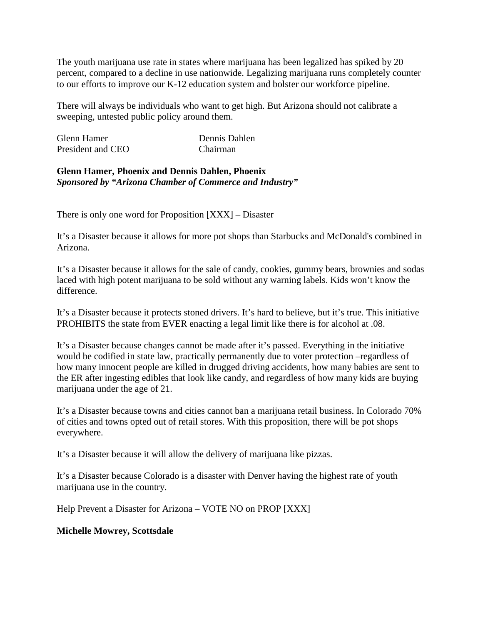The youth marijuana use rate in states where marijuana has been legalized has spiked by 20 percent, compared to a decline in use nationwide. Legalizing marijuana runs completely counter to our efforts to improve our K-12 education system and bolster our workforce pipeline.

There will always be individuals who want to get high. But Arizona should not calibrate a sweeping, untested public policy around them.

| Glenn Hamer       | Dennis Dahlen |
|-------------------|---------------|
| President and CEO | Chairman      |

#### **Glenn Hamer, Phoenix and Dennis Dahlen, Phoenix** *Sponsored by "Arizona Chamber of Commerce and Industry"*

There is only one word for Proposition [XXX] – Disaster

It's a Disaster because it allows for more pot shops than Starbucks and McDonald's combined in Arizona.

It's a Disaster because it allows for the sale of candy, cookies, gummy bears, brownies and sodas laced with high potent marijuana to be sold without any warning labels. Kids won't know the difference.

It's a Disaster because it protects stoned drivers. It's hard to believe, but it's true. This initiative PROHIBITS the state from EVER enacting a legal limit like there is for alcohol at .08.

It's a Disaster because changes cannot be made after it's passed. Everything in the initiative would be codified in state law, practically permanently due to voter protection –regardless of how many innocent people are killed in drugged driving accidents, how many babies are sent to the ER after ingesting edibles that look like candy, and regardless of how many kids are buying marijuana under the age of 21.

It's a Disaster because towns and cities cannot ban a marijuana retail business. In Colorado 70% of cities and towns opted out of retail stores. With this proposition, there will be pot shops everywhere.

It's a Disaster because it will allow the delivery of marijuana like pizzas.

It's a Disaster because Colorado is a disaster with Denver having the highest rate of youth marijuana use in the country.

Help Prevent a Disaster for Arizona – VOTE NO on PROP [XXX]

## **Michelle Mowrey, Scottsdale**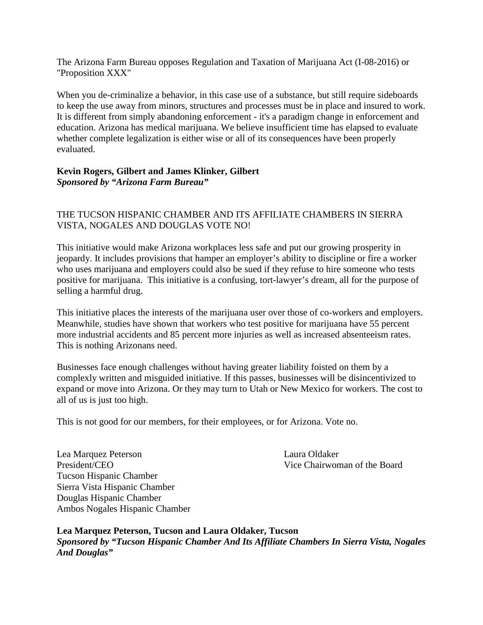The Arizona Farm Bureau opposes Regulation and Taxation of Marijuana Act (I-08-2016) or "Proposition XXX"

When you de-criminalize a behavior, in this case use of a substance, but still require sideboards to keep the use away from minors, structures and processes must be in place and insured to work. It is different from simply abandoning enforcement - it's a paradigm change in enforcement and education. Arizona has medical marijuana. We believe insufficient time has elapsed to evaluate whether complete legalization is either wise or all of its consequences have been properly evaluated.

### **Kevin Rogers, Gilbert and James Klinker, Gilbert** *Sponsored by "Arizona Farm Bureau"*

## THE TUCSON HISPANIC CHAMBER AND ITS AFFILIATE CHAMBERS IN SIERRA VISTA, NOGALES AND DOUGLAS VOTE NO!

This initiative would make Arizona workplaces less safe and put our growing prosperity in jeopardy. It includes provisions that hamper an employer's ability to discipline or fire a worker who uses marijuana and employers could also be sued if they refuse to hire someone who tests positive for marijuana. This initiative is a confusing, tort-lawyer's dream, all for the purpose of selling a harmful drug.

This initiative places the interests of the marijuana user over those of co-workers and employers. Meanwhile, studies have shown that workers who test positive for marijuana have 55 percent more industrial accidents and 85 percent more injuries as well as increased absenteeism rates. This is nothing Arizonans need.

Businesses face enough challenges without having greater liability foisted on them by a complexly written and misguided initiative. If this passes, businesses will be disincentivized to expand or move into Arizona. Or they may turn to Utah or New Mexico for workers. The cost to all of us is just too high.

This is not good for our members, for their employees, or for Arizona. Vote no.

Lea Marquez Peterson Laura Oldaker President/CEO Vice Chairwoman of the Board Tucson Hispanic Chamber Sierra Vista Hispanic Chamber Douglas Hispanic Chamber Ambos Nogales Hispanic Chamber

**Lea Marquez Peterson, Tucson and Laura Oldaker, Tucson** *Sponsored by "Tucson Hispanic Chamber And Its Affiliate Chambers In Sierra Vista, Nogales And Douglas"*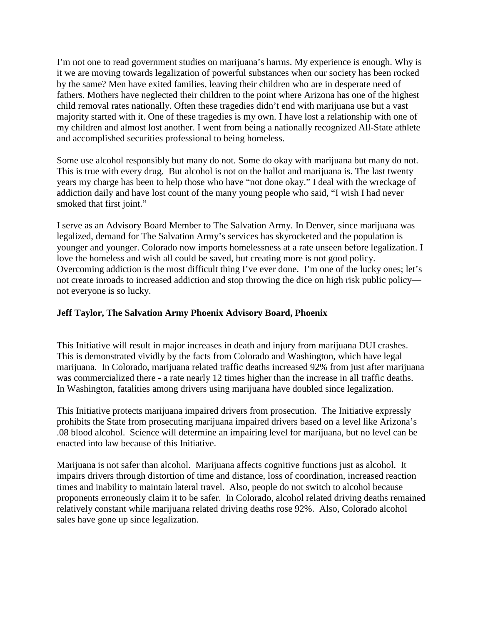I'm not one to read government studies on marijuana's harms. My experience is enough. Why is it we are moving towards legalization of powerful substances when our society has been rocked by the same? Men have exited families, leaving their children who are in desperate need of fathers. Mothers have neglected their children to the point where Arizona has one of the highest child removal rates nationally. Often these tragedies didn't end with marijuana use but a vast majority started with it. One of these tragedies is my own. I have lost a relationship with one of my children and almost lost another. I went from being a nationally recognized All-State athlete and accomplished securities professional to being homeless.

Some use alcohol responsibly but many do not. Some do okay with marijuana but many do not. This is true with every drug. But alcohol is not on the ballot and marijuana is. The last twenty years my charge has been to help those who have "not done okay." I deal with the wreckage of addiction daily and have lost count of the many young people who said, "I wish I had never smoked that first joint."

I serve as an Advisory Board Member to The Salvation Army. In Denver, since marijuana was legalized, demand for The Salvation Army's services has skyrocketed and the population is younger and younger. Colorado now imports homelessness at a rate unseen before legalization. I love the homeless and wish all could be saved, but creating more is not good policy. Overcoming addiction is the most difficult thing I've ever done. I'm one of the lucky ones; let's not create inroads to increased addiction and stop throwing the dice on high risk public policy not everyone is so lucky.

## **Jeff Taylor, The Salvation Army Phoenix Advisory Board, Phoenix**

This Initiative will result in major increases in death and injury from marijuana DUI crashes. This is demonstrated vividly by the facts from Colorado and Washington, which have legal marijuana. In Colorado, marijuana related traffic deaths increased 92% from just after marijuana was commercialized there - a rate nearly 12 times higher than the increase in all traffic deaths. In Washington, fatalities among drivers using marijuana have doubled since legalization.

This Initiative protects marijuana impaired drivers from prosecution. The Initiative expressly prohibits the State from prosecuting marijuana impaired drivers based on a level like Arizona's .08 blood alcohol. Science will determine an impairing level for marijuana, but no level can be enacted into law because of this Initiative.

Marijuana is not safer than alcohol. Marijuana affects cognitive functions just as alcohol. It impairs drivers through distortion of time and distance, loss of coordination, increased reaction times and inability to maintain lateral travel. Also, people do not switch to alcohol because proponents erroneously claim it to be safer. In Colorado, alcohol related driving deaths remained relatively constant while marijuana related driving deaths rose 92%. Also, Colorado alcohol sales have gone up since legalization.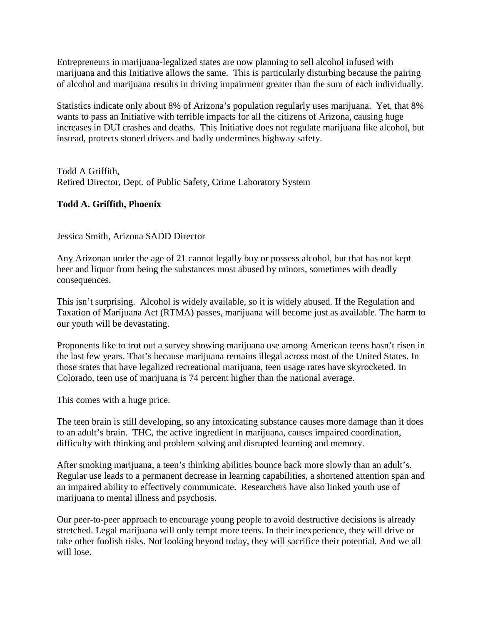Entrepreneurs in marijuana-legalized states are now planning to sell alcohol infused with marijuana and this Initiative allows the same. This is particularly disturbing because the pairing of alcohol and marijuana results in driving impairment greater than the sum of each individually.

Statistics indicate only about 8% of Arizona's population regularly uses marijuana. Yet, that 8% wants to pass an Initiative with terrible impacts for all the citizens of Arizona, causing huge increases in DUI crashes and deaths. This Initiative does not regulate marijuana like alcohol, but instead, protects stoned drivers and badly undermines highway safety.

Todd A Griffith, Retired Director, Dept. of Public Safety, Crime Laboratory System

# **Todd A. Griffith, Phoenix**

Jessica Smith, Arizona SADD Director

Any Arizonan under the age of 21 cannot legally buy or possess alcohol, but that has not kept beer and liquor from being the substances most abused by minors, sometimes with deadly consequences.

This isn't surprising. Alcohol is widely available, so it is widely abused. If the Regulation and Taxation of Marijuana Act (RTMA) passes, marijuana will become just as available. The harm to our youth will be devastating.

Proponents like to trot out a survey showing marijuana use among American teens hasn't risen in the last few years. That's because marijuana remains illegal across most of the United States. In those states that have legalized recreational marijuana, teen usage rates have skyrocketed. In Colorado, teen use of marijuana is 74 percent higher than the national average.

This comes with a huge price.

The teen brain is still developing, so any intoxicating substance causes more damage than it does to an adult's brain. THC, the active ingredient in marijuana, causes impaired coordination, difficulty with thinking and problem solving and disrupted learning and memory.

After smoking marijuana, a teen's thinking abilities bounce back more slowly than an adult's. Regular use leads to a permanent decrease in learning capabilities, a shortened attention span and an impaired ability to effectively communicate. Researchers have also linked youth use of marijuana to mental illness and psychosis.

Our peer-to-peer approach to encourage young people to avoid destructive decisions is already stretched. Legal marijuana will only tempt more teens. In their inexperience, they will drive or take other foolish risks. Not looking beyond today, they will sacrifice their potential. And we all will lose.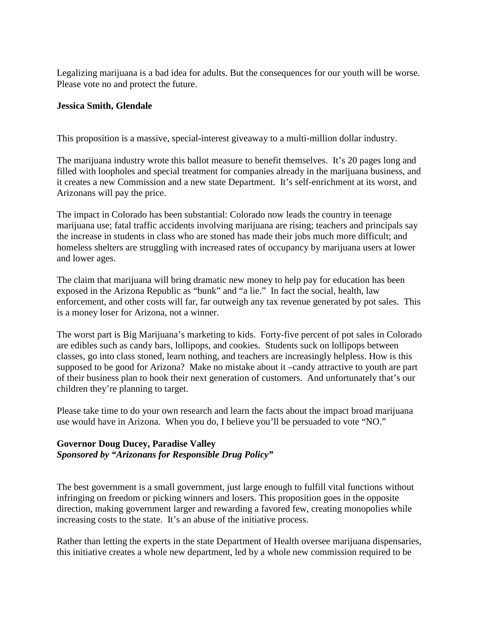Legalizing marijuana is a bad idea for adults. But the consequences for our youth will be worse. Please vote no and protect the future.

#### **Jessica Smith, Glendale**

This proposition is a massive, special-interest giveaway to a multi-million dollar industry.

The marijuana industry wrote this ballot measure to benefit themselves. It's 20 pages long and filled with loopholes and special treatment for companies already in the marijuana business, and it creates a new Commission and a new state Department. It's self-enrichment at its worst, and Arizonans will pay the price.

The impact in Colorado has been substantial: Colorado now leads the country in teenage marijuana use; fatal traffic accidents involving marijuana are rising; teachers and principals say the increase in students in class who are stoned has made their jobs much more difficult; and homeless shelters are struggling with increased rates of occupancy by marijuana users at lower and lower ages.

The claim that marijuana will bring dramatic new money to help pay for education has been exposed in the Arizona Republic as "bunk" and "a lie." In fact the social, health, law enforcement, and other costs will far, far outweigh any tax revenue generated by pot sales. This is a money loser for Arizona, not a winner.

The worst part is Big Marijuana's marketing to kids. Forty-five percent of pot sales in Colorado are edibles such as candy bars, lollipops, and cookies. Students suck on lollipops between classes, go into class stoned, learn nothing, and teachers are increasingly helpless. How is this supposed to be good for Arizona? Make no mistake about it –candy attractive to youth are part of their business plan to hook their next generation of customers. And unfortunately that's our children they're planning to target.

Please take time to do your own research and learn the facts about the impact broad marijuana use would have in Arizona. When you do, I believe you'll be persuaded to vote "NO."

### **Governor Doug Ducey, Paradise Valley** *Sponsored by "Arizonans for Responsible Drug Policy"*

The best government is a small government, just large enough to fulfill vital functions without infringing on freedom or picking winners and losers. This proposition goes in the opposite direction, making government larger and rewarding a favored few, creating monopolies while increasing costs to the state. It's an abuse of the initiative process.

Rather than letting the experts in the state Department of Health oversee marijuana dispensaries, this initiative creates a whole new department, led by a whole new commission required to be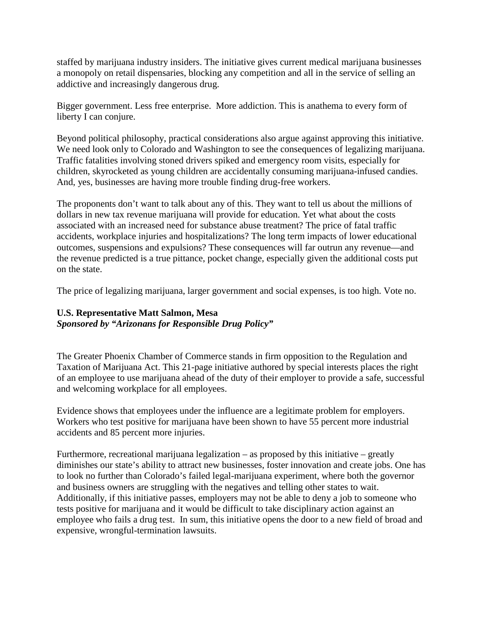staffed by marijuana industry insiders. The initiative gives current medical marijuana businesses a monopoly on retail dispensaries, blocking any competition and all in the service of selling an addictive and increasingly dangerous drug.

Bigger government. Less free enterprise. More addiction. This is anathema to every form of liberty I can conjure.

Beyond political philosophy, practical considerations also argue against approving this initiative. We need look only to Colorado and Washington to see the consequences of legalizing marijuana. Traffic fatalities involving stoned drivers spiked and emergency room visits, especially for children, skyrocketed as young children are accidentally consuming marijuana-infused candies. And, yes, businesses are having more trouble finding drug-free workers.

The proponents don't want to talk about any of this. They want to tell us about the millions of dollars in new tax revenue marijuana will provide for education. Yet what about the costs associated with an increased need for substance abuse treatment? The price of fatal traffic accidents, workplace injuries and hospitalizations? The long term impacts of lower educational outcomes, suspensions and expulsions? These consequences will far outrun any revenue—and the revenue predicted is a true pittance, pocket change, especially given the additional costs put on the state.

The price of legalizing marijuana, larger government and social expenses, is too high. Vote no.

### **U.S. Representative Matt Salmon, Mesa** *Sponsored by "Arizonans for Responsible Drug Policy"*

The Greater Phoenix Chamber of Commerce stands in firm opposition to the Regulation and Taxation of Marijuana Act. This 21-page initiative authored by special interests places the right of an employee to use marijuana ahead of the duty of their employer to provide a safe, successful and welcoming workplace for all employees.

Evidence shows that employees under the influence are a legitimate problem for employers. Workers who test positive for marijuana have been shown to have 55 percent more industrial accidents and 85 percent more injuries.

Furthermore, recreational marijuana legalization – as proposed by this initiative – greatly diminishes our state's ability to attract new businesses, foster innovation and create jobs. One has to look no further than Colorado's failed legal-marijuana experiment, where both the governor and business owners are struggling with the negatives and telling other states to wait. Additionally, if this initiative passes, employers may not be able to deny a job to someone who tests positive for marijuana and it would be difficult to take disciplinary action against an employee who fails a drug test. In sum, this initiative opens the door to a new field of broad and expensive, wrongful-termination lawsuits.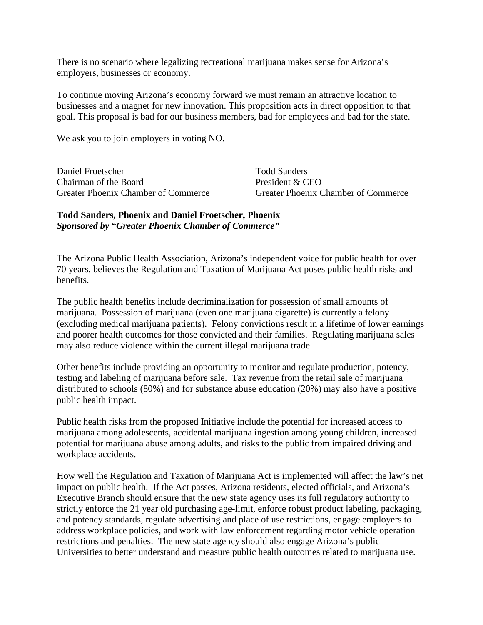There is no scenario where legalizing recreational marijuana makes sense for Arizona's employers, businesses or economy.

To continue moving Arizona's economy forward we must remain an attractive location to businesses and a magnet for new innovation. This proposition acts in direct opposition to that goal. This proposal is bad for our business members, bad for employees and bad for the state.

We ask you to join employers in voting NO.

| Daniel Froetscher                   |  |
|-------------------------------------|--|
| Chairman of the Board               |  |
| Greater Phoenix Chamber of Commerce |  |

Todd Sanders President  $&$  CEO Greater Phoenix Chamber of Commerce

### **Todd Sanders, Phoenix and Daniel Froetscher, Phoenix** *Sponsored by "Greater Phoenix Chamber of Commerce"*

The Arizona Public Health Association, Arizona's independent voice for public health for over 70 years, believes the Regulation and Taxation of Marijuana Act poses public health risks and benefits.

The public health benefits include decriminalization for possession of small amounts of marijuana. Possession of marijuana (even one marijuana cigarette) is currently a felony (excluding medical marijuana patients). Felony convictions result in a lifetime of lower earnings and poorer health outcomes for those convicted and their families. Regulating marijuana sales may also reduce violence within the current illegal marijuana trade.

Other benefits include providing an opportunity to monitor and regulate production, potency, testing and labeling of marijuana before sale. Tax revenue from the retail sale of marijuana distributed to schools (80%) and for substance abuse education (20%) may also have a positive public health impact.

Public health risks from the proposed Initiative include the potential for increased access to marijuana among adolescents, accidental marijuana ingestion among young children, increased potential for marijuana abuse among adults, and risks to the public from impaired driving and workplace accidents.

How well the Regulation and Taxation of Marijuana Act is implemented will affect the law's net impact on public health. If the Act passes, Arizona residents, elected officials, and Arizona's Executive Branch should ensure that the new state agency uses its full regulatory authority to strictly enforce the 21 year old purchasing age-limit, enforce robust product labeling, packaging, and potency standards, regulate advertising and place of use restrictions, engage employers to address workplace policies, and work with law enforcement regarding motor vehicle operation restrictions and penalties. The new state agency should also engage Arizona's public Universities to better understand and measure public health outcomes related to marijuana use.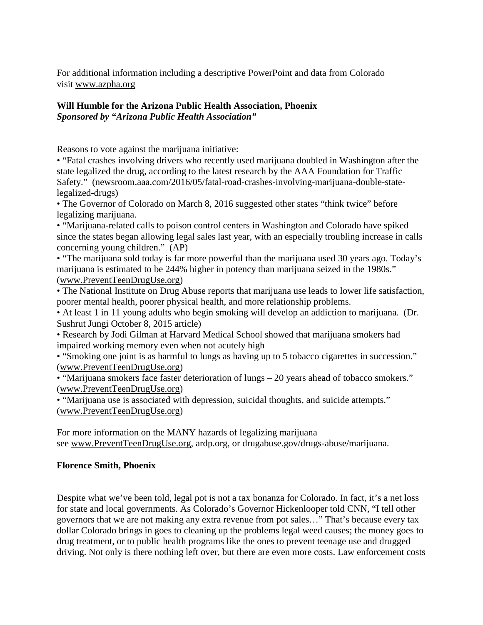For additional information including a descriptive PowerPoint and data from Colorado visit www.azpha.org

# **Will Humble for the Arizona Public Health Association, Phoenix** *Sponsored by "Arizona Public Health Association"*

Reasons to vote against the marijuana initiative:

• "Fatal crashes involving drivers who recently used marijuana doubled in Washington after the state legalized the drug, according to the latest research by the AAA Foundation for Traffic Safety." (newsroom.aaa.com/2016/05/fatal-road-crashes-involving-marijuana-double-statelegalized-drugs)

• The Governor of Colorado on March 8, 2016 suggested other states "think twice" before legalizing marijuana.

• "Marijuana-related calls to poison control centers in Washington and Colorado have spiked since the states began allowing legal sales last year, with an especially troubling increase in calls concerning young children." (AP)

• "The marijuana sold today is far more powerful than the marijuana used 30 years ago. Today's marijuana is estimated to be 244% higher in potency than marijuana seized in the 1980s." (www.PreventTeenDrugUse.org)

• The National Institute on Drug Abuse reports that marijuana use leads to lower life satisfaction, poorer mental health, poorer physical health, and more relationship problems.

• At least 1 in 11 young adults who begin smoking will develop an addiction to marijuana. (Dr. Sushrut Jungi October 8, 2015 article)

• Research by Jodi Gilman at Harvard Medical School showed that marijuana smokers had impaired working memory even when not acutely high

• "Smoking one joint is as harmful to lungs as having up to 5 tobacco cigarettes in succession." (www.PreventTeenDrugUse.org)

• "Marijuana smokers face faster deterioration of lungs – 20 years ahead of tobacco smokers." (www.PreventTeenDrugUse.org)

• "Marijuana use is associated with depression, suicidal thoughts, and suicide attempts." (www.PreventTeenDrugUse.org)

For more information on the MANY hazards of legalizing marijuana see www.PreventTeenDrugUse.org, ardp.org, or drugabuse.gov/drugs-abuse/marijuana.

## **Florence Smith, Phoenix**

Despite what we've been told, legal pot is not a tax bonanza for Colorado. In fact, it's a net loss for state and local governments. As Colorado's Governor Hickenlooper told CNN, "I tell other governors that we are not making any extra revenue from pot sales…" That's because every tax dollar Colorado brings in goes to cleaning up the problems legal weed causes; the money goes to drug treatment, or to public health programs like the ones to prevent teenage use and drugged driving. Not only is there nothing left over, but there are even more costs. Law enforcement costs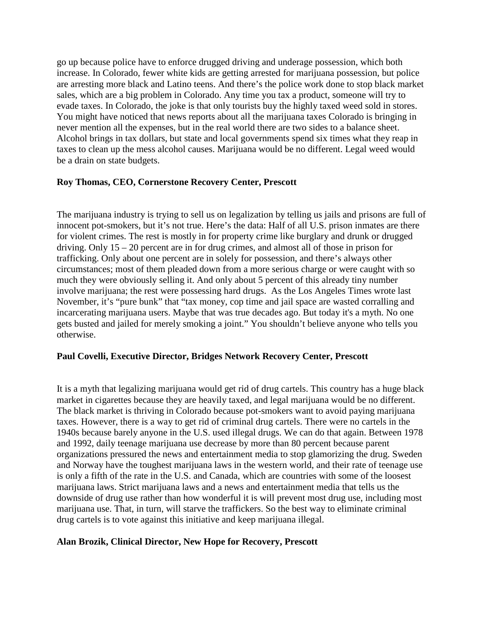go up because police have to enforce drugged driving and underage possession, which both increase. In Colorado, fewer white kids are getting arrested for marijuana possession, but police are arresting more black and Latino teens. And there's the police work done to stop black market sales, which are a big problem in Colorado. Any time you tax a product, someone will try to evade taxes. In Colorado, the joke is that only tourists buy the highly taxed weed sold in stores. You might have noticed that news reports about all the marijuana taxes Colorado is bringing in never mention all the expenses, but in the real world there are two sides to a balance sheet. Alcohol brings in tax dollars, but state and local governments spend six times what they reap in taxes to clean up the mess alcohol causes. Marijuana would be no different. Legal weed would be a drain on state budgets.

### **Roy Thomas, CEO, Cornerstone Recovery Center, Prescott**

The marijuana industry is trying to sell us on legalization by telling us jails and prisons are full of innocent pot-smokers, but it's not true. Here's the data: Half of all U.S. prison inmates are there for violent crimes. The rest is mostly in for property crime like burglary and drunk or drugged driving. Only 15 – 20 percent are in for drug crimes, and almost all of those in prison for trafficking. Only about one percent are in solely for possession, and there's always other circumstances; most of them pleaded down from a more serious charge or were caught with so much they were obviously selling it. And only about 5 percent of this already tiny number involve marijuana; the rest were possessing hard drugs. As the Los Angeles Times wrote last November, it's "pure bunk" that "tax money, cop time and jail space are wasted corralling and incarcerating marijuana users. Maybe that was true decades ago. But today it's a myth. No one gets busted and jailed for merely smoking a joint." You shouldn't believe anyone who tells you otherwise.

#### **Paul Covelli, Executive Director, Bridges Network Recovery Center, Prescott**

It is a myth that legalizing marijuana would get rid of drug cartels. This country has a huge black market in cigarettes because they are heavily taxed, and legal marijuana would be no different. The black market is thriving in Colorado because pot-smokers want to avoid paying marijuana taxes. However, there is a way to get rid of criminal drug cartels. There were no cartels in the 1940s because barely anyone in the U.S. used illegal drugs. We can do that again. Between 1978 and 1992, daily teenage marijuana use decrease by more than 80 percent because parent organizations pressured the news and entertainment media to stop glamorizing the drug. Sweden and Norway have the toughest marijuana laws in the western world, and their rate of teenage use is only a fifth of the rate in the U.S. and Canada, which are countries with some of the loosest marijuana laws. Strict marijuana laws and a news and entertainment media that tells us the downside of drug use rather than how wonderful it is will prevent most drug use, including most marijuana use. That, in turn, will starve the traffickers. So the best way to eliminate criminal drug cartels is to vote against this initiative and keep marijuana illegal.

#### **Alan Brozik, Clinical Director, New Hope for Recovery, Prescott**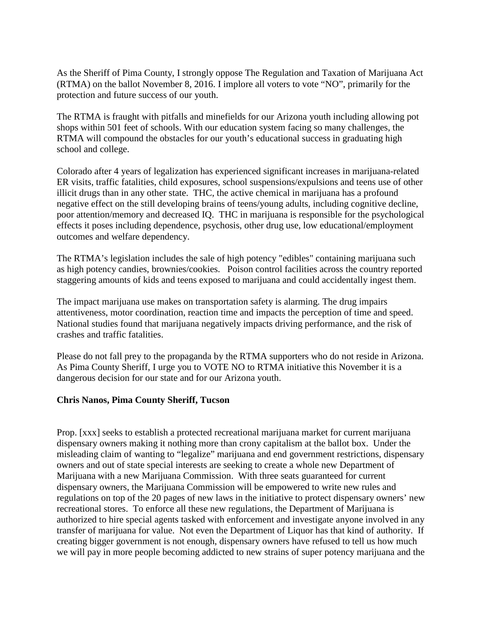As the Sheriff of Pima County, I strongly oppose The Regulation and Taxation of Marijuana Act (RTMA) on the ballot November 8, 2016. I implore all voters to vote "NO", primarily for the protection and future success of our youth.

The RTMA is fraught with pitfalls and minefields for our Arizona youth including allowing pot shops within 501 feet of schools. With our education system facing so many challenges, the RTMA will compound the obstacles for our youth's educational success in graduating high school and college.

Colorado after 4 years of legalization has experienced significant increases in marijuana-related ER visits, traffic fatalities, child exposures, school suspensions/expulsions and teens use of other illicit drugs than in any other state. THC, the active chemical in marijuana has a profound negative effect on the still developing brains of teens/young adults, including cognitive decline, poor attention/memory and decreased IQ. THC in marijuana is responsible for the psychological effects it poses including dependence, psychosis, other drug use, low educational/employment outcomes and welfare dependency.

The RTMA's legislation includes the sale of high potency "edibles" containing marijuana such as high potency candies, brownies/cookies. Poison control facilities across the country reported staggering amounts of kids and teens exposed to marijuana and could accidentally ingest them.

The impact marijuana use makes on transportation safety is alarming. The drug impairs attentiveness, motor coordination, reaction time and impacts the perception of time and speed. National studies found that marijuana negatively impacts driving performance, and the risk of crashes and traffic fatalities.

Please do not fall prey to the propaganda by the RTMA supporters who do not reside in Arizona. As Pima County Sheriff, I urge you to VOTE NO to RTMA initiative this November it is a dangerous decision for our state and for our Arizona youth.

#### **Chris Nanos, Pima County Sheriff, Tucson**

Prop. [xxx] seeks to establish a protected recreational marijuana market for current marijuana dispensary owners making it nothing more than crony capitalism at the ballot box. Under the misleading claim of wanting to "legalize" marijuana and end government restrictions, dispensary owners and out of state special interests are seeking to create a whole new Department of Marijuana with a new Marijuana Commission. With three seats guaranteed for current dispensary owners, the Marijuana Commission will be empowered to write new rules and regulations on top of the 20 pages of new laws in the initiative to protect dispensary owners' new recreational stores. To enforce all these new regulations, the Department of Marijuana is authorized to hire special agents tasked with enforcement and investigate anyone involved in any transfer of marijuana for value. Not even the Department of Liquor has that kind of authority. If creating bigger government is not enough, dispensary owners have refused to tell us how much we will pay in more people becoming addicted to new strains of super potency marijuana and the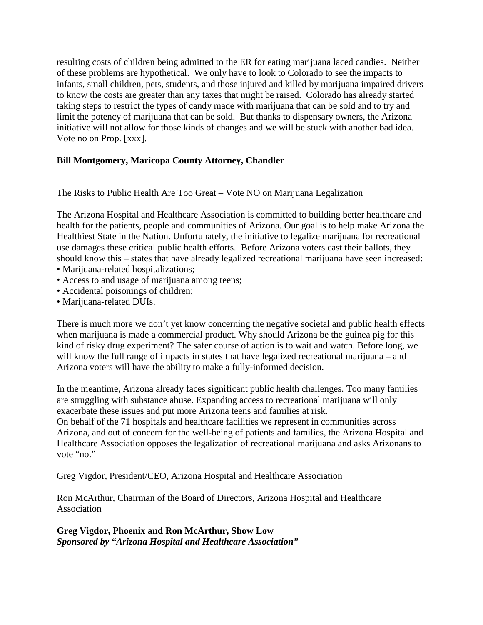resulting costs of children being admitted to the ER for eating marijuana laced candies. Neither of these problems are hypothetical. We only have to look to Colorado to see the impacts to infants, small children, pets, students, and those injured and killed by marijuana impaired drivers to know the costs are greater than any taxes that might be raised. Colorado has already started taking steps to restrict the types of candy made with marijuana that can be sold and to try and limit the potency of marijuana that can be sold. But thanks to dispensary owners, the Arizona initiative will not allow for those kinds of changes and we will be stuck with another bad idea. Vote no on Prop. [xxx].

### **Bill Montgomery, Maricopa County Attorney, Chandler**

The Risks to Public Health Are Too Great – Vote NO on Marijuana Legalization

The Arizona Hospital and Healthcare Association is committed to building better healthcare and health for the patients, people and communities of Arizona. Our goal is to help make Arizona the Healthiest State in the Nation. Unfortunately, the initiative to legalize marijuana for recreational use damages these critical public health efforts. Before Arizona voters cast their ballots, they should know this – states that have already legalized recreational marijuana have seen increased:

- Marijuana-related hospitalizations;
- Access to and usage of marijuana among teens;
- Accidental poisonings of children;
- Marijuana-related DUIs.

There is much more we don't yet know concerning the negative societal and public health effects when marijuana is made a commercial product. Why should Arizona be the guinea pig for this kind of risky drug experiment? The safer course of action is to wait and watch. Before long, we will know the full range of impacts in states that have legalized recreational marijuana – and Arizona voters will have the ability to make a fully-informed decision.

In the meantime, Arizona already faces significant public health challenges. Too many families are struggling with substance abuse. Expanding access to recreational marijuana will only exacerbate these issues and put more Arizona teens and families at risk.

On behalf of the 71 hospitals and healthcare facilities we represent in communities across Arizona, and out of concern for the well-being of patients and families, the Arizona Hospital and Healthcare Association opposes the legalization of recreational marijuana and asks Arizonans to vote "no."

Greg Vigdor, President/CEO, Arizona Hospital and Healthcare Association

Ron McArthur, Chairman of the Board of Directors, Arizona Hospital and Healthcare Association

**Greg Vigdor, Phoenix and Ron McArthur, Show Low** *Sponsored by "Arizona Hospital and Healthcare Association"*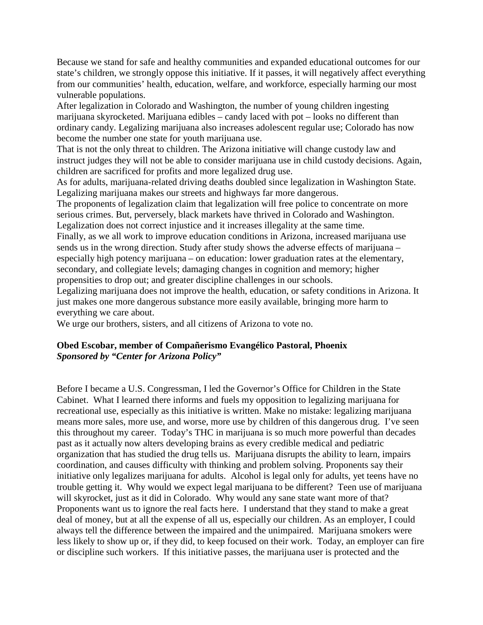Because we stand for safe and healthy communities and expanded educational outcomes for our state's children, we strongly oppose this initiative. If it passes, it will negatively affect everything from our communities' health, education, welfare, and workforce, especially harming our most vulnerable populations.

After legalization in Colorado and Washington, the number of young children ingesting marijuana skyrocketed. Marijuana edibles – candy laced with pot – looks no different than ordinary candy. Legalizing marijuana also increases adolescent regular use; Colorado has now become the number one state for youth marijuana use.

That is not the only threat to children. The Arizona initiative will change custody law and instruct judges they will not be able to consider marijuana use in child custody decisions. Again, children are sacrificed for profits and more legalized drug use.

As for adults, marijuana-related driving deaths doubled since legalization in Washington State. Legalizing marijuana makes our streets and highways far more dangerous.

The proponents of legalization claim that legalization will free police to concentrate on more serious crimes. But, perversely, black markets have thrived in Colorado and Washington. Legalization does not correct injustice and it increases illegality at the same time.

Finally, as we all work to improve education conditions in Arizona, increased marijuana use sends us in the wrong direction. Study after study shows the adverse effects of marijuana – especially high potency marijuana – on education: lower graduation rates at the elementary, secondary, and collegiate levels; damaging changes in cognition and memory; higher propensities to drop out; and greater discipline challenges in our schools.

Legalizing marijuana does not improve the health, education, or safety conditions in Arizona. It just makes one more dangerous substance more easily available, bringing more harm to everything we care about.

We urge our brothers, sisters, and all citizens of Arizona to vote no.

## **Obed Escobar, member of Compañerismo Evangélico Pastoral, Phoenix** *Sponsored by "Center for Arizona Policy"*

Before I became a U.S. Congressman, I led the Governor's Office for Children in the State Cabinet. What I learned there informs and fuels my opposition to legalizing marijuana for recreational use, especially as this initiative is written. Make no mistake: legalizing marijuana means more sales, more use, and worse, more use by children of this dangerous drug. I've seen this throughout my career. Today's THC in marijuana is so much more powerful than decades past as it actually now alters developing brains as every credible medical and pediatric organization that has studied the drug tells us. Marijuana disrupts the ability to learn, impairs coordination, and causes difficulty with thinking and problem solving. Proponents say their initiative only legalizes marijuana for adults. Alcohol is legal only for adults, yet teens have no trouble getting it. Why would we expect legal marijuana to be different? Teen use of marijuana will skyrocket, just as it did in Colorado. Why would any sane state want more of that? Proponents want us to ignore the real facts here. I understand that they stand to make a great deal of money, but at all the expense of all us, especially our children. As an employer, I could always tell the difference between the impaired and the unimpaired. Marijuana smokers were less likely to show up or, if they did, to keep focused on their work. Today, an employer can fire or discipline such workers. If this initiative passes, the marijuana user is protected and the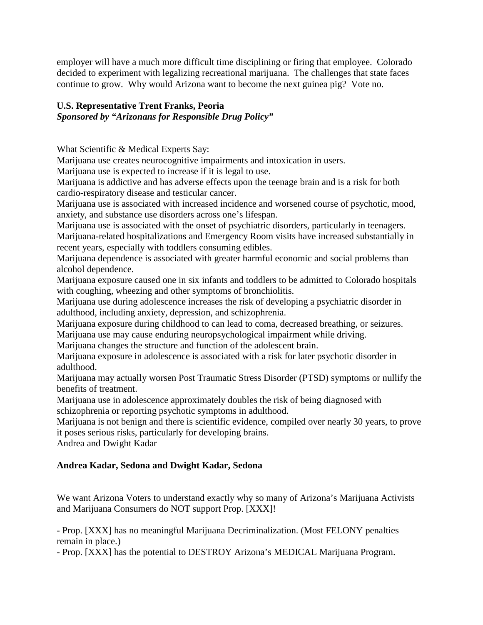employer will have a much more difficult time disciplining or firing that employee. Colorado decided to experiment with legalizing recreational marijuana. The challenges that state faces continue to grow. Why would Arizona want to become the next guinea pig? Vote no.

## **U.S. Representative Trent Franks, Peoria**

# *Sponsored by "Arizonans for Responsible Drug Policy"*

What Scientific & Medical Experts Say:

Marijuana use creates neurocognitive impairments and intoxication in users.

Marijuana use is expected to increase if it is legal to use.

Marijuana is addictive and has adverse effects upon the teenage brain and is a risk for both cardio-respiratory disease and testicular cancer.

Marijuana use is associated with increased incidence and worsened course of psychotic, mood, anxiety, and substance use disorders across one's lifespan.

Marijuana use is associated with the onset of psychiatric disorders, particularly in teenagers.

Marijuana-related hospitalizations and Emergency Room visits have increased substantially in recent years, especially with toddlers consuming edibles.

Marijuana dependence is associated with greater harmful economic and social problems than alcohol dependence.

Marijuana exposure caused one in six infants and toddlers to be admitted to Colorado hospitals with coughing, wheezing and other symptoms of bronchiolitis.

Marijuana use during adolescence increases the risk of developing a psychiatric disorder in adulthood, including anxiety, depression, and schizophrenia.

Marijuana exposure during childhood to can lead to coma, decreased breathing, or seizures. Marijuana use may cause enduring neuropsychological impairment while driving.

Marijuana changes the structure and function of the adolescent brain.

Marijuana exposure in adolescence is associated with a risk for later psychotic disorder in adulthood.

Marijuana may actually worsen Post Traumatic Stress Disorder (PTSD) symptoms or nullify the benefits of treatment.

Marijuana use in adolescence approximately doubles the risk of being diagnosed with schizophrenia or reporting psychotic symptoms in adulthood.

Marijuana is not benign and there is scientific evidence, compiled over nearly 30 years, to prove it poses serious risks, particularly for developing brains.

Andrea and Dwight Kadar

## **Andrea Kadar, Sedona and Dwight Kadar, Sedona**

We want Arizona Voters to understand exactly why so many of Arizona's Marijuana Activists and Marijuana Consumers do NOT support Prop. [XXX]!

- Prop. [XXX] has no meaningful Marijuana Decriminalization. (Most FELONY penalties remain in place.)

- Prop. [XXX] has the potential to DESTROY Arizona's MEDICAL Marijuana Program.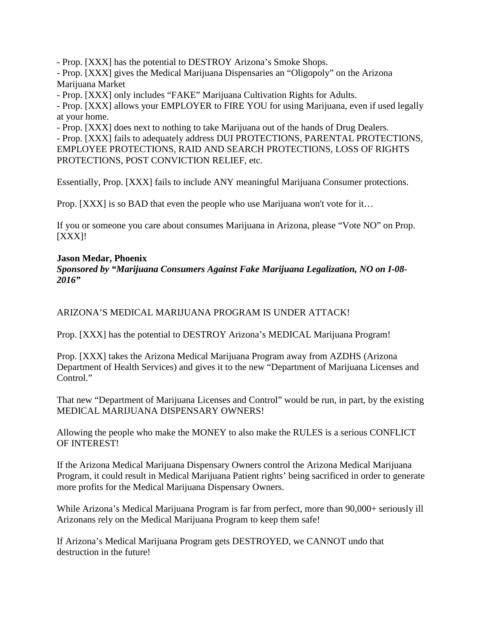- Prop. [XXX] has the potential to DESTROY Arizona's Smoke Shops.

- Prop. [XXX] gives the Medical Marijuana Dispensaries an "Oligopoly" on the Arizona Marijuana Market

- Prop. [XXX] only includes "FAKE" Marijuana Cultivation Rights for Adults.

- Prop. [XXX] allows your EMPLOYER to FIRE YOU for using Marijuana, even if used legally at your home.

- Prop. [XXX] does next to nothing to take Marijuana out of the hands of Drug Dealers.

- Prop. [XXX] fails to adequately address DUI PROTECTIONS, PARENTAL PROTECTIONS, EMPLOYEE PROTECTIONS, RAID AND SEARCH PROTECTIONS, LOSS OF RIGHTS PROTECTIONS, POST CONVICTION RELIEF, etc.

Essentially, Prop. [XXX] fails to include ANY meaningful Marijuana Consumer protections.

Prop. [XXX] is so BAD that even the people who use Marijuana won't vote for it…

If you or someone you care about consumes Marijuana in Arizona, please "Vote NO" on Prop. [XXX]!

## **Jason Medar, Phoenix**

*Sponsored by "Marijuana Consumers Against Fake Marijuana Legalization, NO on I-08- 2016"*

ARIZONA'S MEDICAL MARIJUANA PROGRAM IS UNDER ATTACK!

Prop. [XXX] has the potential to DESTROY Arizona's MEDICAL Marijuana Program!

Prop. [XXX] takes the Arizona Medical Marijuana Program away from AZDHS (Arizona Department of Health Services) and gives it to the new "Department of Marijuana Licenses and Control."

That new "Department of Marijuana Licenses and Control" would be run, in part, by the existing MEDICAL MARIJUANA DISPENSARY OWNERS!

Allowing the people who make the MONEY to also make the RULES is a serious CONFLICT OF INTEREST!

If the Arizona Medical Marijuana Dispensary Owners control the Arizona Medical Marijuana Program, it could result in Medical Marijuana Patient rights' being sacrificed in order to generate more profits for the Medical Marijuana Dispensary Owners.

While Arizona's Medical Marijuana Program is far from perfect, more than 90,000+ seriously ill Arizonans rely on the Medical Marijuana Program to keep them safe!

If Arizona's Medical Marijuana Program gets DESTROYED, we CANNOT undo that destruction in the future!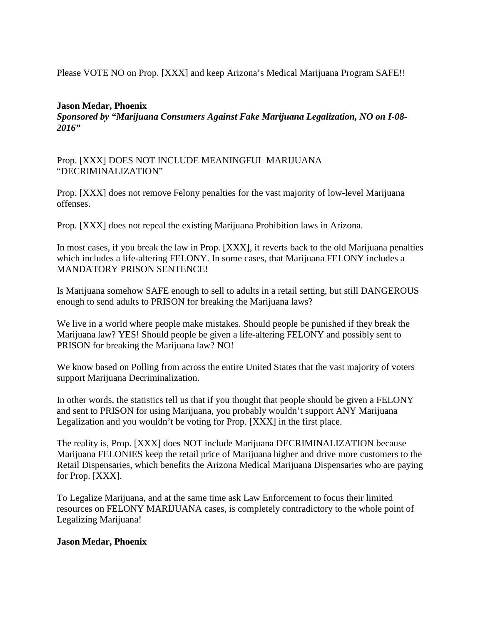Please VOTE NO on Prop. [XXX] and keep Arizona's Medical Marijuana Program SAFE!!

### **Jason Medar, Phoenix**

*Sponsored by "Marijuana Consumers Against Fake Marijuana Legalization, NO on I-08- 2016"*

Prop. [XXX] DOES NOT INCLUDE MEANINGFUL MARIJUANA "DECRIMINALIZATION"

Prop. [XXX] does not remove Felony penalties for the vast majority of low-level Marijuana offenses.

Prop. [XXX] does not repeal the existing Marijuana Prohibition laws in Arizona.

In most cases, if you break the law in Prop. [XXX], it reverts back to the old Marijuana penalties which includes a life-altering FELONY. In some cases, that Marijuana FELONY includes a MANDATORY PRISON SENTENCE!

Is Marijuana somehow SAFE enough to sell to adults in a retail setting, but still DANGEROUS enough to send adults to PRISON for breaking the Marijuana laws?

We live in a world where people make mistakes. Should people be punished if they break the Marijuana law? YES! Should people be given a life-altering FELONY and possibly sent to PRISON for breaking the Marijuana law? NO!

We know based on Polling from across the entire United States that the vast majority of voters support Marijuana Decriminalization.

In other words, the statistics tell us that if you thought that people should be given a FELONY and sent to PRISON for using Marijuana, you probably wouldn't support ANY Marijuana Legalization and you wouldn't be voting for Prop. [XXX] in the first place.

The reality is, Prop. [XXX] does NOT include Marijuana DECRIMINALIZATION because Marijuana FELONIES keep the retail price of Marijuana higher and drive more customers to the Retail Dispensaries, which benefits the Arizona Medical Marijuana Dispensaries who are paying for Prop. [XXX].

To Legalize Marijuana, and at the same time ask Law Enforcement to focus their limited resources on FELONY MARIJUANA cases, is completely contradictory to the whole point of Legalizing Marijuana!

#### **Jason Medar, Phoenix**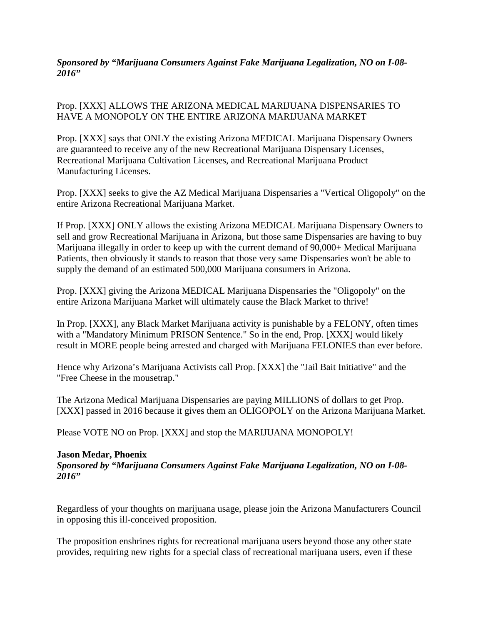*Sponsored by "Marijuana Consumers Against Fake Marijuana Legalization, NO on I-08- 2016"*

Prop. [XXX] ALLOWS THE ARIZONA MEDICAL MARIJUANA DISPENSARIES TO HAVE A MONOPOLY ON THE ENTIRE ARIZONA MARIJUANA MARKET

Prop. [XXX] says that ONLY the existing Arizona MEDICAL Marijuana Dispensary Owners are guaranteed to receive any of the new Recreational Marijuana Dispensary Licenses, Recreational Marijuana Cultivation Licenses, and Recreational Marijuana Product Manufacturing Licenses.

Prop. [XXX] seeks to give the AZ Medical Marijuana Dispensaries a "Vertical Oligopoly" on the entire Arizona Recreational Marijuana Market.

If Prop. [XXX] ONLY allows the existing Arizona MEDICAL Marijuana Dispensary Owners to sell and grow Recreational Marijuana in Arizona, but those same Dispensaries are having to buy Marijuana illegally in order to keep up with the current demand of 90,000+ Medical Marijuana Patients, then obviously it stands to reason that those very same Dispensaries won't be able to supply the demand of an estimated 500,000 Marijuana consumers in Arizona.

Prop. [XXX] giving the Arizona MEDICAL Marijuana Dispensaries the "Oligopoly" on the entire Arizona Marijuana Market will ultimately cause the Black Market to thrive!

In Prop. [XXX], any Black Market Marijuana activity is punishable by a FELONY, often times with a "Mandatory Minimum PRISON Sentence." So in the end, Prop. [XXX] would likely result in MORE people being arrested and charged with Marijuana FELONIES than ever before.

Hence why Arizona's Marijuana Activists call Prop. [XXX] the "Jail Bait Initiative" and the "Free Cheese in the mousetrap."

The Arizona Medical Marijuana Dispensaries are paying MILLIONS of dollars to get Prop. [XXX] passed in 2016 because it gives them an OLIGOPOLY on the Arizona Marijuana Market.

Please VOTE NO on Prop. [XXX] and stop the MARIJUANA MONOPOLY!

#### **Jason Medar, Phoenix**

*Sponsored by "Marijuana Consumers Against Fake Marijuana Legalization, NO on I-08- 2016"*

Regardless of your thoughts on marijuana usage, please join the Arizona Manufacturers Council in opposing this ill-conceived proposition.

The proposition enshrines rights for recreational marijuana users beyond those any other state provides, requiring new rights for a special class of recreational marijuana users, even if these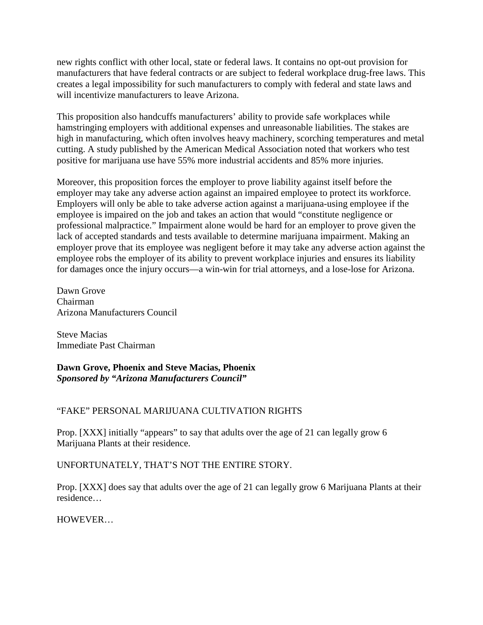new rights conflict with other local, state or federal laws. It contains no opt-out provision for manufacturers that have federal contracts or are subject to federal workplace drug-free laws. This creates a legal impossibility for such manufacturers to comply with federal and state laws and will incentivize manufacturers to leave Arizona.

This proposition also handcuffs manufacturers' ability to provide safe workplaces while hamstringing employers with additional expenses and unreasonable liabilities. The stakes are high in manufacturing, which often involves heavy machinery, scorching temperatures and metal cutting. A study published by the American Medical Association noted that workers who test positive for marijuana use have 55% more industrial accidents and 85% more injuries.

Moreover, this proposition forces the employer to prove liability against itself before the employer may take any adverse action against an impaired employee to protect its workforce. Employers will only be able to take adverse action against a marijuana-using employee if the employee is impaired on the job and takes an action that would "constitute negligence or professional malpractice." Impairment alone would be hard for an employer to prove given the lack of accepted standards and tests available to determine marijuana impairment. Making an employer prove that its employee was negligent before it may take any adverse action against the employee robs the employer of its ability to prevent workplace injuries and ensures its liability for damages once the injury occurs—a win-win for trial attorneys, and a lose-lose for Arizona.

Dawn Grove Chairman Arizona Manufacturers Council

Steve Macias Immediate Past Chairman

## **Dawn Grove, Phoenix and Steve Macias, Phoenix** *Sponsored by "Arizona Manufacturers Council"*

## "FAKE" PERSONAL MARIJUANA CULTIVATION RIGHTS

Prop. [XXX] initially "appears" to say that adults over the age of 21 can legally grow 6 Marijuana Plants at their residence.

## UNFORTUNATELY, THAT'S NOT THE ENTIRE STORY.

Prop. [XXX] does say that adults over the age of 21 can legally grow 6 Marijuana Plants at their residence…

## HOWEVER…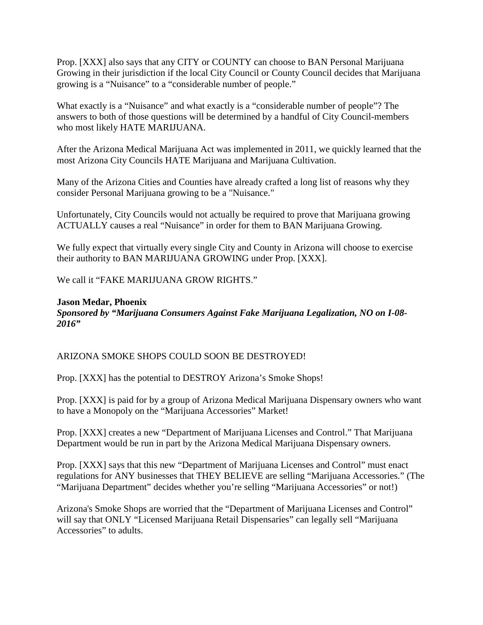Prop. [XXX] also says that any CITY or COUNTY can choose to BAN Personal Marijuana Growing in their jurisdiction if the local City Council or County Council decides that Marijuana growing is a "Nuisance" to a "considerable number of people."

What exactly is a "Nuisance" and what exactly is a "considerable number of people"? The answers to both of those questions will be determined by a handful of City Council-members who most likely HATE MARIJUANA.

After the Arizona Medical Marijuana Act was implemented in 2011, we quickly learned that the most Arizona City Councils HATE Marijuana and Marijuana Cultivation.

Many of the Arizona Cities and Counties have already crafted a long list of reasons why they consider Personal Marijuana growing to be a "Nuisance."

Unfortunately, City Councils would not actually be required to prove that Marijuana growing ACTUALLY causes a real "Nuisance" in order for them to BAN Marijuana Growing.

We fully expect that virtually every single City and County in Arizona will choose to exercise their authority to BAN MARIJUANA GROWING under Prop. [XXX].

We call it "FAKE MARIJUANA GROW RIGHTS."

## **Jason Medar, Phoenix** *Sponsored by "Marijuana Consumers Against Fake Marijuana Legalization, NO on I-08- 2016"*

# ARIZONA SMOKE SHOPS COULD SOON BE DESTROYED!

Prop. [XXX] has the potential to DESTROY Arizona's Smoke Shops!

Prop. [XXX] is paid for by a group of Arizona Medical Marijuana Dispensary owners who want to have a Monopoly on the "Marijuana Accessories" Market!

Prop. [XXX] creates a new "Department of Marijuana Licenses and Control." That Marijuana Department would be run in part by the Arizona Medical Marijuana Dispensary owners.

Prop. [XXX] says that this new "Department of Marijuana Licenses and Control" must enact regulations for ANY businesses that THEY BELIEVE are selling "Marijuana Accessories." (The "Marijuana Department" decides whether you're selling "Marijuana Accessories" or not!)

Arizona's Smoke Shops are worried that the "Department of Marijuana Licenses and Control" will say that ONLY "Licensed Marijuana Retail Dispensaries" can legally sell "Marijuana Accessories" to adults.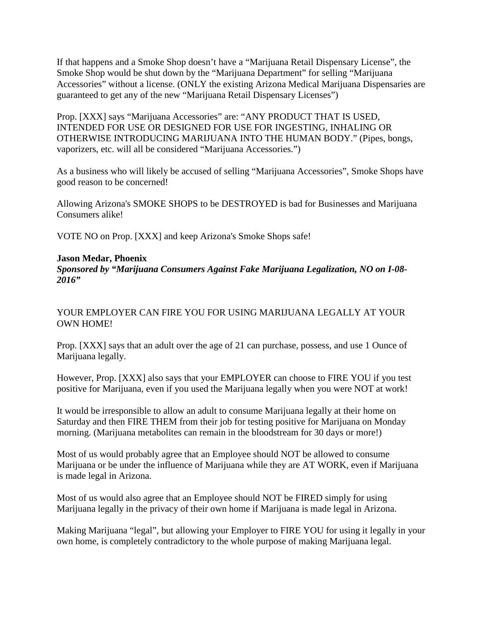If that happens and a Smoke Shop doesn't have a "Marijuana Retail Dispensary License", the Smoke Shop would be shut down by the "Marijuana Department" for selling "Marijuana Accessories" without a license. (ONLY the existing Arizona Medical Marijuana Dispensaries are guaranteed to get any of the new "Marijuana Retail Dispensary Licenses")

Prop. [XXX] says "Marijuana Accessories" are: "ANY PRODUCT THAT IS USED, INTENDED FOR USE OR DESIGNED FOR USE FOR INGESTING, INHALING OR OTHERWISE INTRODUCING MARIJUANA INTO THE HUMAN BODY." (Pipes, bongs, vaporizers, etc. will all be considered "Marijuana Accessories.")

As a business who will likely be accused of selling "Marijuana Accessories", Smoke Shops have good reason to be concerned!

Allowing Arizona's SMOKE SHOPS to be DESTROYED is bad for Businesses and Marijuana Consumers alike!

VOTE NO on Prop. [XXX] and keep Arizona's Smoke Shops safe!

## **Jason Medar, Phoenix**

*Sponsored by "Marijuana Consumers Against Fake Marijuana Legalization, NO on I-08- 2016"*

## YOUR EMPLOYER CAN FIRE YOU FOR USING MARIJUANA LEGALLY AT YOUR OWN HOME!

Prop. [XXX] says that an adult over the age of 21 can purchase, possess, and use 1 Ounce of Marijuana legally.

However, Prop. [XXX] also says that your EMPLOYER can choose to FIRE YOU if you test positive for Marijuana, even if you used the Marijuana legally when you were NOT at work!

It would be irresponsible to allow an adult to consume Marijuana legally at their home on Saturday and then FIRE THEM from their job for testing positive for Marijuana on Monday morning. (Marijuana metabolites can remain in the bloodstream for 30 days or more!)

Most of us would probably agree that an Employee should NOT be allowed to consume Marijuana or be under the influence of Marijuana while they are AT WORK, even if Marijuana is made legal in Arizona.

Most of us would also agree that an Employee should NOT be FIRED simply for using Marijuana legally in the privacy of their own home if Marijuana is made legal in Arizona.

Making Marijuana "legal", but allowing your Employer to FIRE YOU for using it legally in your own home, is completely contradictory to the whole purpose of making Marijuana legal.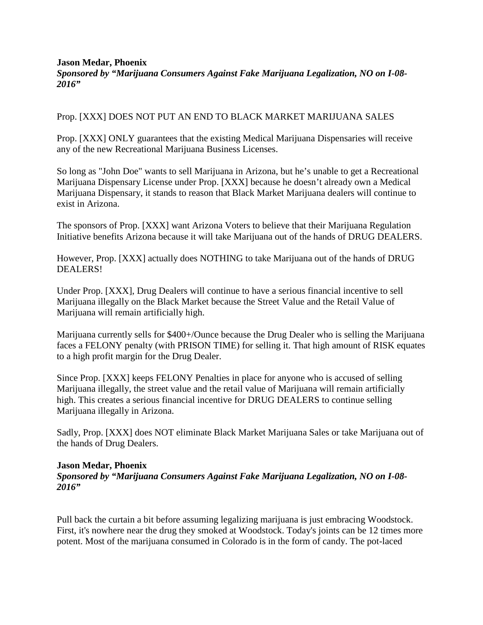#### **Jason Medar, Phoenix**

*Sponsored by "Marijuana Consumers Against Fake Marijuana Legalization, NO on I-08- 2016"*

### Prop. [XXX] DOES NOT PUT AN END TO BLACK MARKET MARIJUANA SALES

Prop. [XXX] ONLY guarantees that the existing Medical Marijuana Dispensaries will receive any of the new Recreational Marijuana Business Licenses.

So long as "John Doe" wants to sell Marijuana in Arizona, but he's unable to get a Recreational Marijuana Dispensary License under Prop. [XXX] because he doesn't already own a Medical Marijuana Dispensary, it stands to reason that Black Market Marijuana dealers will continue to exist in Arizona.

The sponsors of Prop. [XXX] want Arizona Voters to believe that their Marijuana Regulation Initiative benefits Arizona because it will take Marijuana out of the hands of DRUG DEALERS.

However, Prop. [XXX] actually does NOTHING to take Marijuana out of the hands of DRUG DEALERS!

Under Prop. [XXX], Drug Dealers will continue to have a serious financial incentive to sell Marijuana illegally on the Black Market because the Street Value and the Retail Value of Marijuana will remain artificially high.

Marijuana currently sells for \$400+/Ounce because the Drug Dealer who is selling the Marijuana faces a FELONY penalty (with PRISON TIME) for selling it. That high amount of RISK equates to a high profit margin for the Drug Dealer.

Since Prop. [XXX] keeps FELONY Penalties in place for anyone who is accused of selling Marijuana illegally, the street value and the retail value of Marijuana will remain artificially high. This creates a serious financial incentive for DRUG DEALERS to continue selling Marijuana illegally in Arizona.

Sadly, Prop. [XXX] does NOT eliminate Black Market Marijuana Sales or take Marijuana out of the hands of Drug Dealers.

#### **Jason Medar, Phoenix**

*Sponsored by "Marijuana Consumers Against Fake Marijuana Legalization, NO on I-08- 2016"*

Pull back the curtain a bit before assuming legalizing marijuana is just embracing Woodstock. First, it's nowhere near the drug they smoked at Woodstock. Today's joints can be 12 times more potent. Most of the marijuana consumed in Colorado is in the form of candy. The pot-laced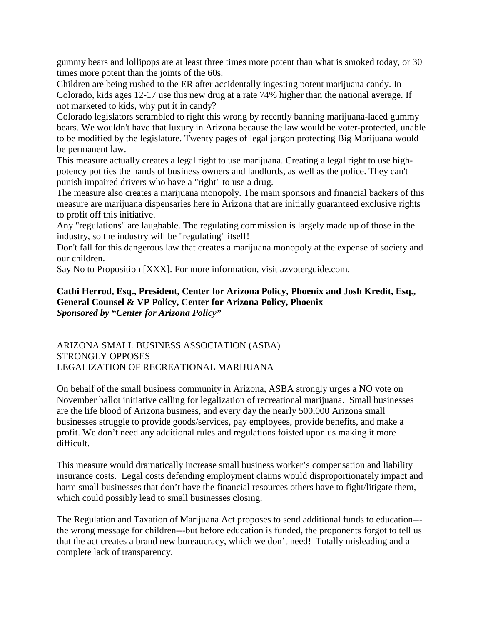gummy bears and lollipops are at least three times more potent than what is smoked today, or 30 times more potent than the joints of the 60s.

Children are being rushed to the ER after accidentally ingesting potent marijuana candy. In Colorado, kids ages 12-17 use this new drug at a rate 74% higher than the national average. If not marketed to kids, why put it in candy?

Colorado legislators scrambled to right this wrong by recently banning marijuana-laced gummy bears. We wouldn't have that luxury in Arizona because the law would be voter-protected, unable to be modified by the legislature. Twenty pages of legal jargon protecting Big Marijuana would be permanent law.

This measure actually creates a legal right to use marijuana. Creating a legal right to use highpotency pot ties the hands of business owners and landlords, as well as the police. They can't punish impaired drivers who have a "right" to use a drug.

The measure also creates a marijuana monopoly. The main sponsors and financial backers of this measure are marijuana dispensaries here in Arizona that are initially guaranteed exclusive rights to profit off this initiative.

Any "regulations" are laughable. The regulating commission is largely made up of those in the industry, so the industry will be "regulating" itself!

Don't fall for this dangerous law that creates a marijuana monopoly at the expense of society and our children.

Say No to Proposition [XXX]. For more information, visit azvoterguide.com.

## **Cathi Herrod, Esq., President, Center for Arizona Policy, Phoenix and Josh Kredit, Esq., General Counsel & VP Policy, Center for Arizona Policy, Phoenix** *Sponsored by "Center for Arizona Policy"*

### ARIZONA SMALL BUSINESS ASSOCIATION (ASBA) STRONGLY OPPOSES LEGALIZATION OF RECREATIONAL MARIJUANA

On behalf of the small business community in Arizona, ASBA strongly urges a NO vote on November ballot initiative calling for legalization of recreational marijuana. Small businesses are the life blood of Arizona business, and every day the nearly 500,000 Arizona small businesses struggle to provide goods/services, pay employees, provide benefits, and make a profit. We don't need any additional rules and regulations foisted upon us making it more difficult.

This measure would dramatically increase small business worker's compensation and liability insurance costs. Legal costs defending employment claims would disproportionately impact and harm small businesses that don't have the financial resources others have to fight/litigate them, which could possibly lead to small businesses closing.

The Regulation and Taxation of Marijuana Act proposes to send additional funds to education-- the wrong message for children---but before education is funded, the proponents forgot to tell us that the act creates a brand new bureaucracy, which we don't need! Totally misleading and a complete lack of transparency.